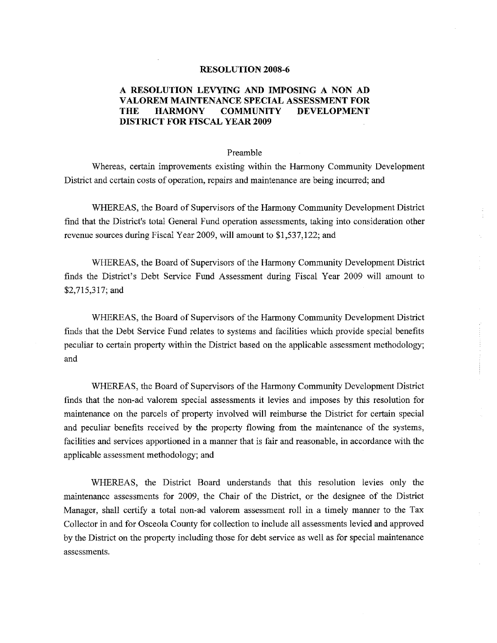## **RESOLUTION 2008-6**

## **A RESOLUTION LEVYING AND IMPOSING A NON AD V ALO REM MAINTENANCE SPECIAL ASSESSMENT FOR THE HARMONY COMMUNITY DEVELOPMENT DISTRICT FOR FISCAL YEAR 2009**

## Preamble

Whereas, certain improvements existing within the Harmony Community Development District and certain costs of operation, repairs and maintenance are being incurred; and

WHEREAS, the Board of Supervisors of the Harmony Community Development District find that the District's total General Fund operation assessments, taking into consideration other revenue sources during Fiscal Year 2009, will amount to \$1,537,122; and

WHEREAS, the Board of Supervisors of the Harmony Community Development District finds the District's Debt Service Fund Assessment during Fiscal Year 2009 will amount to \$2,715,317; and

WHEREAS, the Board of Supervisors of the Harmony Community Development District finds that the Debt Service Fund relates to systems and facilities which provide special benefits peculiar to certain property within the District based on the applicable assessment methodology; and

WHEREAS, the Board of Supervisors of the Harmony Community Development District finds that the non-ad valorem special assessments it levies and imposes by this resolution for maintenance on the parcels of property involved will reimburse the District for certain special and peculiar benefits received by the property flowing from the maintenance of the systems, facilities and services apportioned in a manner that is fair and reasonable, in accordance with the applicable assessment methodology; and

WHEREAS, the District Board understands that this resolution levies only the maintenance assessments for 2009, the Chair of the District, or the designee of the District Manager, shall certify a total non-ad valorem assessment roll in a timely manner to the Tax Collector in and for Osceola County for collection to include all assessments levied and approved by the District on the property including those for debt service as well as for special maintenance assessments.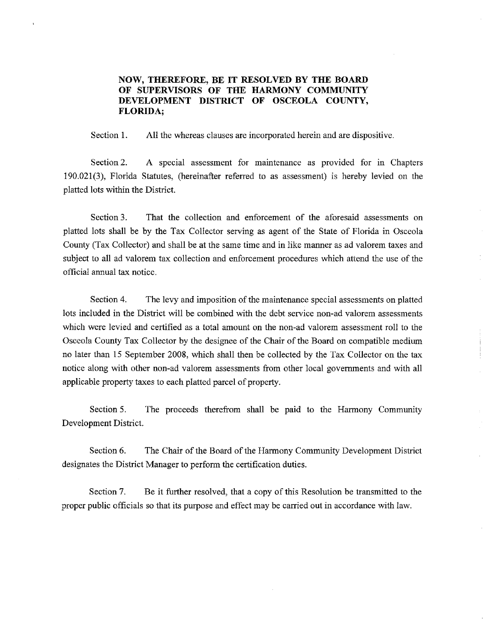## **NOW, THEREFORE, BE IT RESOLVED BY THE BOARD OF SUPERVISORS OF THE HARMONY COMMUNITY DEVELOPMENT DISTRICT OF OSCEOLA COUNTY, FLORIDA;**

Section 1. All the whereas clauses are incorporated herein and are dispositive.

Section 2. A special assessment for maintenance as provided for in Chapters 190.021(3), Florida Statutes, (hereinafter referred to as assessment) is hereby levied on the platted lots within the District.

Section 3. That the collection and enforcement of the aforesaid assessments on platted lots shall be by the Tax Collector serving as agent of the State of Florida in Osceola County (Tax Collector) and shall be at the same time and in like manner as ad valorem taxes and subject to all ad valorem tax collection and enforcement procedures which attend the use of the official annual tax notice.

Section 4. The levy and imposition of the maintenance special assessments on platted lots included in the District will be combined with the debt service non-ad valorem assessments which were levied and certified as a total amount on the non-ad valorem assessment roll to the Osceola County Tax Collector by the designee of the Chair of the Board on compatible medium no later than 15 September 2008, which shall then be collected by the Tax Collector on the tax notice along with other non-ad valorem assessments from other local governments and with all applicable property taxes to each platted parcel of property.

Section 5. The proceeds therefrom shall be paid to the Harmony Community Development District.

Section 6. The Chair of the Board of the Harmony Community Development District designates the District Manager to perform the certification duties.

Section 7. Be it further resolved, that a copy of this Resolution be transmitted to the proper public officials so that its purpose and effect may be carried out in accordance with law.